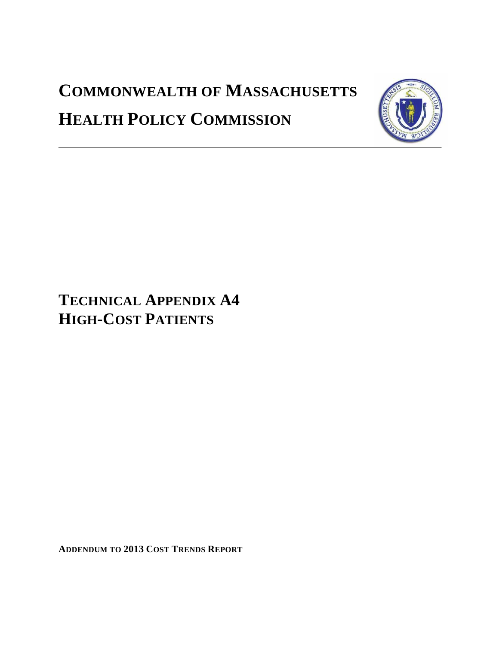# **COMMONWEALTH OF MASSACHUSETTS HEALTH POLICY COMMISSION**



# **TECHNICAL APPENDIX A4 HIGH-COST PATIENTS**

**ADDENDUM TO 2013 COST TRENDS REPORT**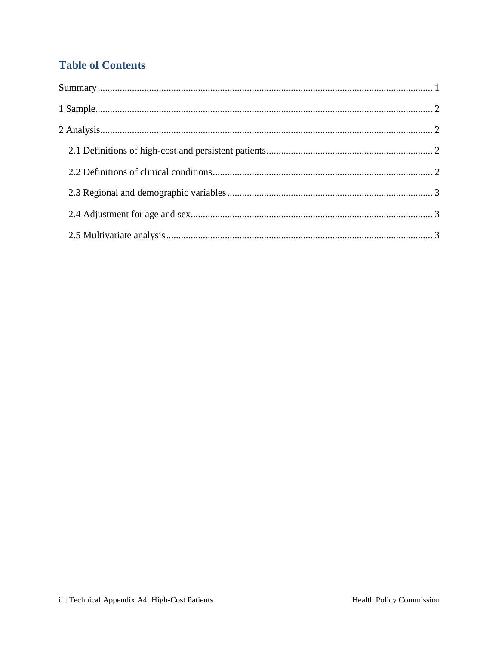# **Table of Contents**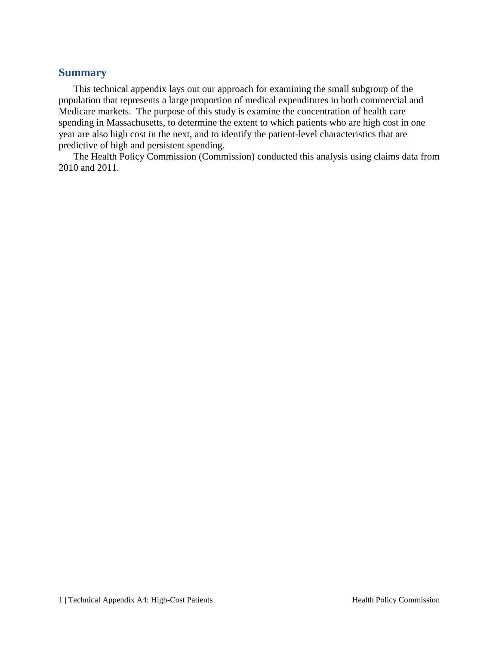#### <span id="page-2-0"></span>**Summary**

This technical appendix lays out our approach for examining the small subgroup of the population that represents a large proportion of medical expenditures in both commercial and Medicare markets. The purpose of this study is examine the concentration of health care spending in Massachusetts, to determine the extent to which patients who are high cost in one year are also high cost in the next, and to identify the patient-level characteristics that are predictive of high and persistent spending.

The Health Policy Commission (Commission) conducted this analysis using claims data from 2010 and 2011.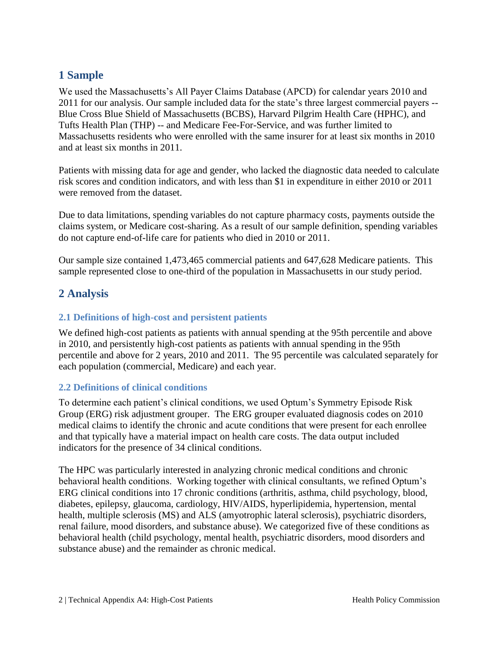## <span id="page-3-0"></span>**1 Sample**

We used the Massachusetts's All Payer Claims Database (APCD) for calendar years 2010 and 2011 for our analysis. Our sample included data for the state's three largest commercial payers -- Blue Cross Blue Shield of Massachusetts (BCBS), Harvard Pilgrim Health Care (HPHC), and Tufts Health Plan (THP) -- and Medicare Fee-For-Service, and was further limited to Massachusetts residents who were enrolled with the same insurer for at least six months in 2010 and at least six months in 2011.

Patients with missing data for age and gender, who lacked the diagnostic data needed to calculate risk scores and condition indicators, and with less than \$1 in expenditure in either 2010 or 2011 were removed from the dataset.

Due to data limitations, spending variables do not capture pharmacy costs, payments outside the claims system, or Medicare cost-sharing. As a result of our sample definition, spending variables do not capture end-of-life care for patients who died in 2010 or 2011.

Our sample size contained 1,473,465 commercial patients and 647,628 Medicare patients. This sample represented close to one-third of the population in Massachusetts in our study period.

### <span id="page-3-1"></span>**2 Analysis**

#### <span id="page-3-2"></span>**2.1 Definitions of high-cost and persistent patients**

We defined high-cost patients as patients with annual spending at the 95th percentile and above in 2010, and persistently high-cost patients as patients with annual spending in the 95th percentile and above for 2 years, 2010 and 2011. The 95 percentile was calculated separately for each population (commercial, Medicare) and each year.

#### <span id="page-3-3"></span>**2.2 Definitions of clinical conditions**

To determine each patient's clinical conditions, we used Optum's Symmetry Episode Risk Group (ERG) risk adjustment grouper. The ERG grouper evaluated diagnosis codes on 2010 medical claims to identify the chronic and acute conditions that were present for each enrollee and that typically have a material impact on health care costs. The data output included indicators for the presence of 34 clinical conditions.

The HPC was particularly interested in analyzing chronic medical conditions and chronic behavioral health conditions. Working together with clinical consultants, we refined Optum's ERG clinical conditions into 17 chronic conditions (arthritis, asthma, child psychology, blood, diabetes, epilepsy, glaucoma, cardiology, HIV/AIDS, hyperlipidemia, hypertension, mental health, multiple sclerosis (MS) and ALS (amyotrophic lateral sclerosis), psychiatric disorders, renal failure, mood disorders, and substance abuse). We categorized five of these conditions as behavioral health (child psychology, mental health, psychiatric disorders, mood disorders and substance abuse) and the remainder as chronic medical.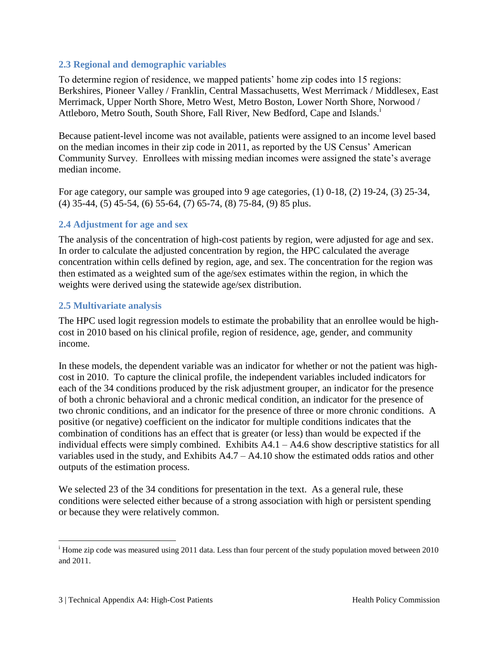#### <span id="page-4-0"></span>**2.3 Regional and demographic variables**

To determine region of residence, we mapped patients' home zip codes into 15 regions: Berkshires, Pioneer Valley / Franklin, Central Massachusetts, West Merrimack / Middlesex, East Merrimack, Upper North Shore, Metro West, Metro Boston, Lower North Shore, Norwood / Attleboro, Metro South, South Shore, Fall River, New Bedford, Cape and Islands.<sup>i</sup>

Because patient-level income was not available, patients were assigned to an income level based on the median incomes in their zip code in 2011, as reported by the US Census' American Community Survey. Enrollees with missing median incomes were assigned the state's average median income.

For age category, our sample was grouped into 9 age categories, (1) 0-18, (2) 19-24, (3) 25-34, (4) 35-44, (5) 45-54, (6) 55-64, (7) 65-74, (8) 75-84, (9) 85 plus.

#### <span id="page-4-1"></span>**2.4 Adjustment for age and sex**

The analysis of the concentration of high-cost patients by region, were adjusted for age and sex. In order to calculate the adjusted concentration by region, the HPC calculated the average concentration within cells defined by region, age, and sex. The concentration for the region was then estimated as a weighted sum of the age/sex estimates within the region, in which the weights were derived using the statewide age/sex distribution.

#### <span id="page-4-2"></span>**2.5 Multivariate analysis**

The HPC used logit regression models to estimate the probability that an enrollee would be highcost in 2010 based on his clinical profile, region of residence, age, gender, and community income.

In these models, the dependent variable was an indicator for whether or not the patient was highcost in 2010. To capture the clinical profile, the independent variables included indicators for each of the 34 conditions produced by the risk adjustment grouper, an indicator for the presence of both a chronic behavioral and a chronic medical condition, an indicator for the presence of two chronic conditions, and an indicator for the presence of three or more chronic conditions. A positive (or negative) coefficient on the indicator for multiple conditions indicates that the combination of conditions has an effect that is greater (or less) than would be expected if the individual effects were simply combined. Exhibits A4.1 – A4.6 show descriptive statistics for all variables used in the study, and Exhibits A4.7 – A4.10 show the estimated odds ratios and other outputs of the estimation process.

We selected 23 of the 34 conditions for presentation in the text. As a general rule, these conditions were selected either because of a strong association with high or persistent spending or because they were relatively common.

 $\overline{a}$ 

<sup>&</sup>lt;sup>i</sup> Home zip code was measured using 2011 data. Less than four percent of the study population moved between 2010 and 2011.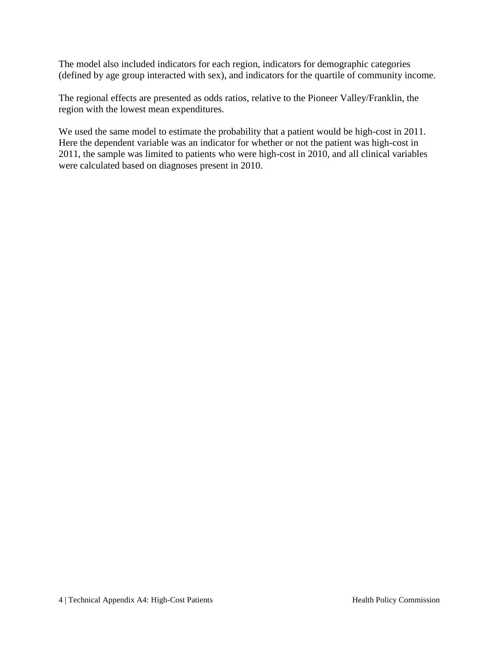The model also included indicators for each region, indicators for demographic categories (defined by age group interacted with sex), and indicators for the quartile of community income.

The regional effects are presented as odds ratios, relative to the Pioneer Valley/Franklin, the region with the lowest mean expenditures.

We used the same model to estimate the probability that a patient would be high-cost in 2011. Here the dependent variable was an indicator for whether or not the patient was high-cost in 2011, the sample was limited to patients who were high-cost in 2010, and all clinical variables were calculated based on diagnoses present in 2010.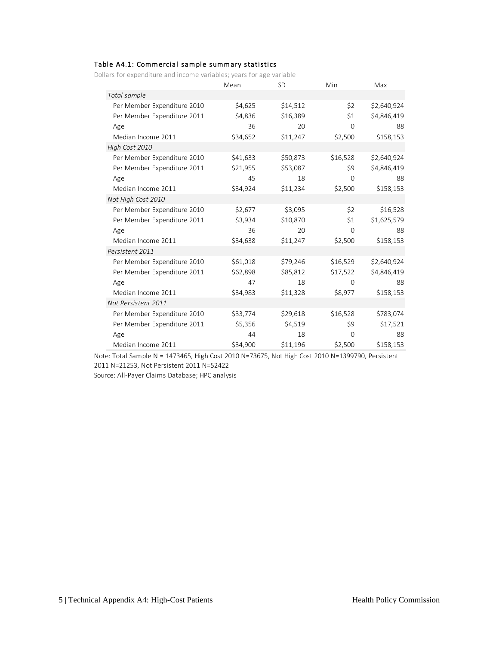#### Table A4.1: Commercial sample summary statistics

Dollars for expenditure and income variables; years for age variable

|                             | Mean     | <b>SD</b> | Min      | Max         |
|-----------------------------|----------|-----------|----------|-------------|
| Total sample                |          |           |          |             |
| Per Member Expenditure 2010 | \$4,625  | \$14,512  | \$2      | \$2,640,924 |
| Per Member Expenditure 2011 | \$4,836  | \$16,389  | \$1      | \$4,846,419 |
| Age                         | 36       | 20        | $\Omega$ | 88          |
| Median Income 2011          | \$34,652 | \$11,247  | \$2,500  | \$158,153   |
| High Cost 2010              |          |           |          |             |
| Per Member Expenditure 2010 | \$41,633 | \$50,873  | \$16,528 | \$2,640,924 |
| Per Member Expenditure 2011 | \$21,955 | \$53,087  | \$9      | \$4,846,419 |
| Age                         | 45       | 18        | $\Omega$ | 88          |
| Median Income 2011          | \$34,924 | \$11,234  | \$2,500  | \$158,153   |
| Not High Cost 2010          |          |           |          |             |
| Per Member Expenditure 2010 | \$2,677  | \$3,095   | \$2      | \$16,528    |
| Per Member Expenditure 2011 | \$3,934  | \$10,870  | \$1      | \$1,625,579 |
| Age                         | 36       | 20        | $\Omega$ | 88          |
| Median Income 2011          | \$34,638 | \$11,247  | \$2,500  | \$158,153   |
| Persistent 2011             |          |           |          |             |
| Per Member Expenditure 2010 | \$61,018 | \$79,246  | \$16,529 | \$2,640,924 |
| Per Member Expenditure 2011 | \$62,898 | \$85,812  | \$17,522 | \$4,846,419 |
| Age                         | 47       | 18        | $\Omega$ | 88          |
| Median Income 2011          | \$34,983 | \$11,328  | \$8,977  | \$158,153   |
| Not Persistent 2011         |          |           |          |             |
| Per Member Expenditure 2010 | \$33,774 | \$29,618  | \$16,528 | \$783,074   |
| Per Member Expenditure 2011 | \$5,356  | \$4,519   | \$9      | \$17,521    |
| Age                         | 44       | 18        | $\Omega$ | 88          |
| Median Income 2011          | \$34,900 | \$11,196  | \$2,500  | \$158,153   |

Note: Total Sample N = 1473465, High Cost 2010 N=73675, Not High Cost 2010 N=1399790, Persistent 2011 N=21253, Not Persistent 2011 N=52422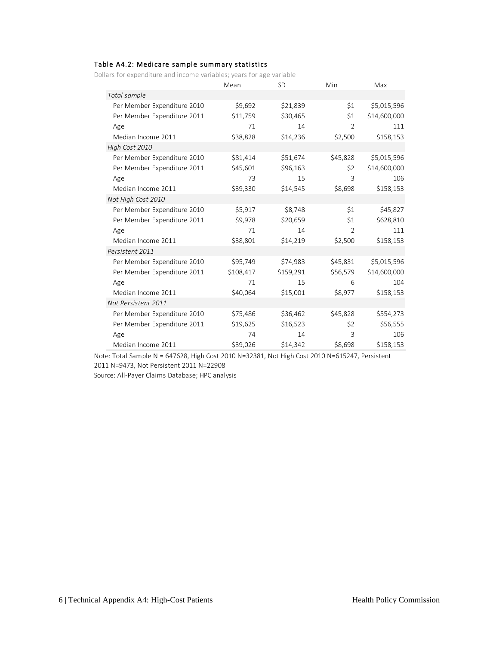#### Table A4.2: Medicare sample summary statistics

Dollars for expenditure and income variables; years for age variable

|                             | Mean      | <b>SD</b> | Min            | Max          |
|-----------------------------|-----------|-----------|----------------|--------------|
| Total sample                |           |           |                |              |
| Per Member Expenditure 2010 | \$9,692   | \$21,839  | \$1            | \$5,015,596  |
| Per Member Expenditure 2011 | \$11,759  | \$30,465  | \$1            | \$14,600,000 |
| Age                         | 71        | 14        | $\overline{2}$ | 111          |
| Median Income 2011          | \$38,828  | \$14,236  | \$2,500        | \$158,153    |
| High Cost 2010              |           |           |                |              |
| Per Member Expenditure 2010 | \$81,414  | \$51,674  | \$45,828       | \$5,015,596  |
| Per Member Expenditure 2011 | \$45,601  | \$96,163  | \$2            | \$14,600,000 |
| Age                         | 73        | 15        | 3              | 106          |
| Median Income 2011          | \$39,330  | \$14,545  | \$8,698        | \$158,153    |
| Not High Cost 2010          |           |           |                |              |
| Per Member Expenditure 2010 | \$5,917   | \$8,748   | \$1            | \$45,827     |
| Per Member Expenditure 2011 | \$9,978   | \$20,659  | \$1            | \$628,810    |
| Age                         | 71        | 14        | $\overline{2}$ | 111          |
| Median Income 2011          | \$38,801  | \$14,219  | \$2,500        | \$158,153    |
| Persistent 2011             |           |           |                |              |
| Per Member Expenditure 2010 | \$95,749  | \$74,983  | \$45,831       | \$5,015,596  |
| Per Member Expenditure 2011 | \$108,417 | \$159,291 | \$56,579       | \$14,600,000 |
| Age                         | 71        | 15        | 6              | 104          |
| Median Income 2011          | \$40,064  | \$15,001  | \$8,977        | \$158,153    |
| Not Persistent 2011         |           |           |                |              |
| Per Member Expenditure 2010 | \$75,486  | \$36,462  | \$45,828       | \$554,273    |
| Per Member Expenditure 2011 | \$19,625  | \$16,523  | \$2            | \$56,555     |
| Age                         | 74        | 14        | 3              | 106          |
| Median Income 2011          | \$39,026  | \$14,342  | \$8,698        | \$158,153    |

Note: Total Sample N = 647628, High Cost 2010 N=32381, Not High Cost 2010 N=615247, Persistent 2011 N=9473, Not Persistent 2011 N=22908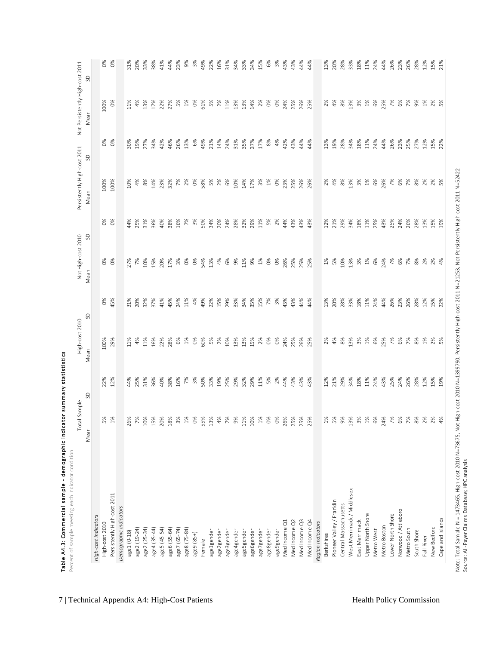| S<br>7%<br>7%<br>100%<br>0%<br>$1\%$<br>0%<br>61%<br>5%<br>11%<br>14%<br>4%<br>8%<br>13%<br>3%<br>$1\%$<br>6%<br>25%<br>6%<br>9%<br>1%<br>11%<br>4%<br>13%<br>17%<br>22%<br>5%<br>2%<br>13%<br>13%<br>2%<br>$\frac{6}{3}$<br>$\delta$<br>24%<br>25%<br>2%<br>2%<br>27%<br>26%<br>25%<br>5%<br>Mean<br>$\delta$<br>$0\%$<br>49%<br>31%<br>26%<br>25%<br>27%<br>42%<br>46%<br>26%<br>13%<br>6%<br>21%<br>14%<br>24%<br>35%<br>37%<br>17%<br>8%<br>4%<br>42%<br>43%<br>44%<br>13%<br>19%<br>28%<br>34%<br>18%<br>11%<br>24%<br>44%<br>23%<br>27%<br>12%<br>30%<br>19%<br>34%<br>44%<br>15%<br>22%<br>SD<br>7%<br>100%<br>8%<br>5%<br>4%<br>8%<br>3%<br>$1\%$<br>6%<br>26%<br>6%<br>8%<br>2%<br>100%<br>4%<br>14%<br>23%<br>32%<br>7%<br>2%<br>$\infty$<br>58%<br>2%<br>6%<br>10%<br>14%<br>17%<br>3%<br>$1\%$<br>$\frac{8}{3}$<br>23%<br>25%<br>26%<br>2%<br>13%<br>7%<br>2%<br>10%<br>26%<br>5%<br>Mean<br>$\delta$<br>$0\%$<br>31%<br>7%<br>3%<br>50%<br>34%<br>24%<br>32%<br>29%<br>44%<br>43%<br>21%<br>29%<br>34%<br>18%<br>11%<br>25%<br>43%<br>25%<br>24%<br>26%<br>28%<br>13%<br>44%<br>25%<br>36%<br>40%<br>38%<br>16%<br>20%<br>28%<br>11%<br>5%<br>2%<br>43%<br>43%<br>12%<br>15%<br>19%<br>SD<br>$\delta$<br>$0\%$<br>10%<br>0%<br>54%<br>13%<br>6%<br>9%<br>11%<br>9%<br>$1\%$<br>25%<br>5%<br>10%<br>3%<br>$1\%$<br>6%<br>24%<br>7%<br>6%<br>7%<br>8%<br>27%<br>7%<br>15%<br>20%<br>17%<br>3%<br>$\delta$<br>4%<br>$\delta$<br>$\delta$<br>26%<br>25%<br>$1\%$<br>13%<br>2%<br>$2%$<br>4%<br>25%<br>Mean<br>$O\%$<br>32%<br>$4%$<br>49%<br>22%<br>28%<br>33%<br>18%<br>11%<br>44%<br>23%<br>26%<br>28%<br>45%<br>31%<br>20%<br>37%<br>41%<br>45%<br>24%<br>11%<br>15%<br>29%<br>33%<br>34%<br>35%<br>15%<br>7%<br>3%<br>43%<br>43%<br>44%<br>13%<br>20%<br>24%<br>26%<br>12%<br>15%<br>44%<br>22%<br>SD<br>100%<br>$O\%$<br>8%<br>$1\%$<br>25%<br>7%<br>$6\%$<br>7%<br>8%<br>29%<br>11%<br>$1\%$<br>60%<br>5%<br>2%<br>10%<br>13%<br>13%<br>15%<br>2%<br>$\delta$<br>O%<br>4%<br>13%<br>3%<br>$6\%$<br>1%<br>11%<br>4%<br>16%<br>22%<br>28%<br>6%<br>24%<br>25%<br>26%<br>2%<br>$2%$ 5%<br>25%<br>Mean<br>12%<br>3%<br>18%<br>11%<br>43%<br>26%<br>28%<br>12%<br>22%<br>44%<br>31%<br>36%<br>40%<br>16%<br>7%<br>50%<br>33%<br>19%<br>25%<br>29%<br>32%<br>29%<br>11%<br>5%<br>2%<br>44%<br>43%<br>43%<br>21%<br>29%<br>34%<br>24%<br>25%<br>24%<br>25%<br>38%<br>43%<br>12%<br>15%<br>19%<br>S<br>5%<br>1%<br>$\begin{array}{c} \frac{1}{2} & \frac{1}{2} \\ 0 & \frac{1}{2} \end{array}$<br>55%<br>13%<br>$4%$<br>7%<br>9%<br>11%<br>10%<br>$1\%$<br>5%<br>13%<br>3%<br>$1\%$<br>24%<br>$\frac{5}{6}$<br>26%<br>7%<br>10%<br>15%<br>20%<br>18%<br>$O\%$<br>$O\%$<br>26%<br>25%<br>25%<br>25%<br>$1\%$<br>9%<br>$6\%$<br>28 X<br>$\frac{5}{6}$<br>$\frac{5}{6}$<br>$\frac{5}{2}$<br>$\frac{5}{2}$<br>Mean<br>West Merrimack / Middlesex<br>Persistently High-cost 2011<br>Pioneer Valley / Franklin<br>Central Massachusetts<br>Demographic indicators<br>Norwood / Attleboro<br>Lower North Shore<br>Upper North Shore<br>High-cost indicators<br>Cape and Islands<br>Med Income Q2<br>Med Income Q3<br>Med Income Q4<br>East Merrimack<br>Med Income Q1<br>Region indicators<br>High-cost 2010<br>Metro Boston<br>New Bedford<br>age7 (65-74)<br>age8 (75-84)<br>age2 (19-24)<br>age2 (25-34)<br>age4 (35-44)<br>age5 (45-54)<br>age6 (55-64)<br>Metro West<br>Metro South<br>age7gender<br>age8gender<br>age9gender<br>South Shore<br>age1gender<br>age2gender<br>age3gender<br>age4gender<br>age5gender<br>age6gender<br>age1 (0-18)<br>age9 (85+)<br>Berkshires<br>Fall River<br>Female | Percent of sample meeting each indicator condition | Total Sample | High-cost 2010 | Not High-cost 2010 | Persistently High-cost 2011 | Not Persistently High-cost 2011 |           |
|----------------------------------------------------------------------------------------------------------------------------------------------------------------------------------------------------------------------------------------------------------------------------------------------------------------------------------------------------------------------------------------------------------------------------------------------------------------------------------------------------------------------------------------------------------------------------------------------------------------------------------------------------------------------------------------------------------------------------------------------------------------------------------------------------------------------------------------------------------------------------------------------------------------------------------------------------------------------------------------------------------------------------------------------------------------------------------------------------------------------------------------------------------------------------------------------------------------------------------------------------------------------------------------------------------------------------------------------------------------------------------------------------------------------------------------------------------------------------------------------------------------------------------------------------------------------------------------------------------------------------------------------------------------------------------------------------------------------------------------------------------------------------------------------------------------------------------------------------------------------------------------------------------------------------------------------------------------------------------------------------------------------------------------------------------------------------------------------------------------------------------------------------------------------------------------------------------------------------------------------------------------------------------------------------------------------------------------------------------------------------------------------------------------------------------------------------------------------------------------------------------------------------------------------------------------------------------------------------------------------------------------------------------------------------------------------------------------------------------------------------------------------------------------------------------------------------------------------------------------------------------------------------------------------------------------------------------------------------------------------------------------------------------------------------------------------------------------------------------------------------------------------------------------------------------------------------------------------------------------------------------------------------------------------------------------------------------------------------------------------------------------------------------------------------------------------------------------------------------------------------------------------------------------------------------------------------------------------------------|----------------------------------------------------|--------------|----------------|--------------------|-----------------------------|---------------------------------|-----------|
|                                                                                                                                                                                                                                                                                                                                                                                                                                                                                                                                                                                                                                                                                                                                                                                                                                                                                                                                                                                                                                                                                                                                                                                                                                                                                                                                                                                                                                                                                                                                                                                                                                                                                                                                                                                                                                                                                                                                                                                                                                                                                                                                                                                                                                                                                                                                                                                                                                                                                                                                                                                                                                                                                                                                                                                                                                                                                                                                                                                                                                                                                                                                                                                                                                                                                                                                                                                                                                                                                                                                                                                                          |                                                    |              |                |                    |                             |                                 |           |
|                                                                                                                                                                                                                                                                                                                                                                                                                                                                                                                                                                                                                                                                                                                                                                                                                                                                                                                                                                                                                                                                                                                                                                                                                                                                                                                                                                                                                                                                                                                                                                                                                                                                                                                                                                                                                                                                                                                                                                                                                                                                                                                                                                                                                                                                                                                                                                                                                                                                                                                                                                                                                                                                                                                                                                                                                                                                                                                                                                                                                                                                                                                                                                                                                                                                                                                                                                                                                                                                                                                                                                                                          |                                                    |              |                |                    |                             |                                 |           |
|                                                                                                                                                                                                                                                                                                                                                                                                                                                                                                                                                                                                                                                                                                                                                                                                                                                                                                                                                                                                                                                                                                                                                                                                                                                                                                                                                                                                                                                                                                                                                                                                                                                                                                                                                                                                                                                                                                                                                                                                                                                                                                                                                                                                                                                                                                                                                                                                                                                                                                                                                                                                                                                                                                                                                                                                                                                                                                                                                                                                                                                                                                                                                                                                                                                                                                                                                                                                                                                                                                                                                                                                          |                                                    |              |                |                    |                             |                                 | 8 8<br>0% |
|                                                                                                                                                                                                                                                                                                                                                                                                                                                                                                                                                                                                                                                                                                                                                                                                                                                                                                                                                                                                                                                                                                                                                                                                                                                                                                                                                                                                                                                                                                                                                                                                                                                                                                                                                                                                                                                                                                                                                                                                                                                                                                                                                                                                                                                                                                                                                                                                                                                                                                                                                                                                                                                                                                                                                                                                                                                                                                                                                                                                                                                                                                                                                                                                                                                                                                                                                                                                                                                                                                                                                                                                          |                                                    |              |                |                    |                             |                                 |           |
|                                                                                                                                                                                                                                                                                                                                                                                                                                                                                                                                                                                                                                                                                                                                                                                                                                                                                                                                                                                                                                                                                                                                                                                                                                                                                                                                                                                                                                                                                                                                                                                                                                                                                                                                                                                                                                                                                                                                                                                                                                                                                                                                                                                                                                                                                                                                                                                                                                                                                                                                                                                                                                                                                                                                                                                                                                                                                                                                                                                                                                                                                                                                                                                                                                                                                                                                                                                                                                                                                                                                                                                                          |                                                    |              |                |                    |                             |                                 |           |
|                                                                                                                                                                                                                                                                                                                                                                                                                                                                                                                                                                                                                                                                                                                                                                                                                                                                                                                                                                                                                                                                                                                                                                                                                                                                                                                                                                                                                                                                                                                                                                                                                                                                                                                                                                                                                                                                                                                                                                                                                                                                                                                                                                                                                                                                                                                                                                                                                                                                                                                                                                                                                                                                                                                                                                                                                                                                                                                                                                                                                                                                                                                                                                                                                                                                                                                                                                                                                                                                                                                                                                                                          |                                                    |              |                |                    |                             |                                 | 31%       |
|                                                                                                                                                                                                                                                                                                                                                                                                                                                                                                                                                                                                                                                                                                                                                                                                                                                                                                                                                                                                                                                                                                                                                                                                                                                                                                                                                                                                                                                                                                                                                                                                                                                                                                                                                                                                                                                                                                                                                                                                                                                                                                                                                                                                                                                                                                                                                                                                                                                                                                                                                                                                                                                                                                                                                                                                                                                                                                                                                                                                                                                                                                                                                                                                                                                                                                                                                                                                                                                                                                                                                                                                          |                                                    |              |                |                    |                             |                                 | 20%       |
|                                                                                                                                                                                                                                                                                                                                                                                                                                                                                                                                                                                                                                                                                                                                                                                                                                                                                                                                                                                                                                                                                                                                                                                                                                                                                                                                                                                                                                                                                                                                                                                                                                                                                                                                                                                                                                                                                                                                                                                                                                                                                                                                                                                                                                                                                                                                                                                                                                                                                                                                                                                                                                                                                                                                                                                                                                                                                                                                                                                                                                                                                                                                                                                                                                                                                                                                                                                                                                                                                                                                                                                                          |                                                    |              |                |                    |                             |                                 | 33%       |
|                                                                                                                                                                                                                                                                                                                                                                                                                                                                                                                                                                                                                                                                                                                                                                                                                                                                                                                                                                                                                                                                                                                                                                                                                                                                                                                                                                                                                                                                                                                                                                                                                                                                                                                                                                                                                                                                                                                                                                                                                                                                                                                                                                                                                                                                                                                                                                                                                                                                                                                                                                                                                                                                                                                                                                                                                                                                                                                                                                                                                                                                                                                                                                                                                                                                                                                                                                                                                                                                                                                                                                                                          |                                                    |              |                |                    |                             |                                 | 38%       |
|                                                                                                                                                                                                                                                                                                                                                                                                                                                                                                                                                                                                                                                                                                                                                                                                                                                                                                                                                                                                                                                                                                                                                                                                                                                                                                                                                                                                                                                                                                                                                                                                                                                                                                                                                                                                                                                                                                                                                                                                                                                                                                                                                                                                                                                                                                                                                                                                                                                                                                                                                                                                                                                                                                                                                                                                                                                                                                                                                                                                                                                                                                                                                                                                                                                                                                                                                                                                                                                                                                                                                                                                          |                                                    |              |                |                    |                             |                                 | 41%       |
|                                                                                                                                                                                                                                                                                                                                                                                                                                                                                                                                                                                                                                                                                                                                                                                                                                                                                                                                                                                                                                                                                                                                                                                                                                                                                                                                                                                                                                                                                                                                                                                                                                                                                                                                                                                                                                                                                                                                                                                                                                                                                                                                                                                                                                                                                                                                                                                                                                                                                                                                                                                                                                                                                                                                                                                                                                                                                                                                                                                                                                                                                                                                                                                                                                                                                                                                                                                                                                                                                                                                                                                                          |                                                    |              |                |                    |                             |                                 | 44%       |
|                                                                                                                                                                                                                                                                                                                                                                                                                                                                                                                                                                                                                                                                                                                                                                                                                                                                                                                                                                                                                                                                                                                                                                                                                                                                                                                                                                                                                                                                                                                                                                                                                                                                                                                                                                                                                                                                                                                                                                                                                                                                                                                                                                                                                                                                                                                                                                                                                                                                                                                                                                                                                                                                                                                                                                                                                                                                                                                                                                                                                                                                                                                                                                                                                                                                                                                                                                                                                                                                                                                                                                                                          |                                                    |              |                |                    |                             |                                 | 23%       |
|                                                                                                                                                                                                                                                                                                                                                                                                                                                                                                                                                                                                                                                                                                                                                                                                                                                                                                                                                                                                                                                                                                                                                                                                                                                                                                                                                                                                                                                                                                                                                                                                                                                                                                                                                                                                                                                                                                                                                                                                                                                                                                                                                                                                                                                                                                                                                                                                                                                                                                                                                                                                                                                                                                                                                                                                                                                                                                                                                                                                                                                                                                                                                                                                                                                                                                                                                                                                                                                                                                                                                                                                          |                                                    |              |                |                    |                             |                                 | 9%        |
|                                                                                                                                                                                                                                                                                                                                                                                                                                                                                                                                                                                                                                                                                                                                                                                                                                                                                                                                                                                                                                                                                                                                                                                                                                                                                                                                                                                                                                                                                                                                                                                                                                                                                                                                                                                                                                                                                                                                                                                                                                                                                                                                                                                                                                                                                                                                                                                                                                                                                                                                                                                                                                                                                                                                                                                                                                                                                                                                                                                                                                                                                                                                                                                                                                                                                                                                                                                                                                                                                                                                                                                                          |                                                    |              |                |                    |                             |                                 | 3%        |
|                                                                                                                                                                                                                                                                                                                                                                                                                                                                                                                                                                                                                                                                                                                                                                                                                                                                                                                                                                                                                                                                                                                                                                                                                                                                                                                                                                                                                                                                                                                                                                                                                                                                                                                                                                                                                                                                                                                                                                                                                                                                                                                                                                                                                                                                                                                                                                                                                                                                                                                                                                                                                                                                                                                                                                                                                                                                                                                                                                                                                                                                                                                                                                                                                                                                                                                                                                                                                                                                                                                                                                                                          |                                                    |              |                |                    |                             |                                 | 49%       |
|                                                                                                                                                                                                                                                                                                                                                                                                                                                                                                                                                                                                                                                                                                                                                                                                                                                                                                                                                                                                                                                                                                                                                                                                                                                                                                                                                                                                                                                                                                                                                                                                                                                                                                                                                                                                                                                                                                                                                                                                                                                                                                                                                                                                                                                                                                                                                                                                                                                                                                                                                                                                                                                                                                                                                                                                                                                                                                                                                                                                                                                                                                                                                                                                                                                                                                                                                                                                                                                                                                                                                                                                          |                                                    |              |                |                    |                             |                                 | 22%       |
|                                                                                                                                                                                                                                                                                                                                                                                                                                                                                                                                                                                                                                                                                                                                                                                                                                                                                                                                                                                                                                                                                                                                                                                                                                                                                                                                                                                                                                                                                                                                                                                                                                                                                                                                                                                                                                                                                                                                                                                                                                                                                                                                                                                                                                                                                                                                                                                                                                                                                                                                                                                                                                                                                                                                                                                                                                                                                                                                                                                                                                                                                                                                                                                                                                                                                                                                                                                                                                                                                                                                                                                                          |                                                    |              |                |                    |                             |                                 | 16%       |
|                                                                                                                                                                                                                                                                                                                                                                                                                                                                                                                                                                                                                                                                                                                                                                                                                                                                                                                                                                                                                                                                                                                                                                                                                                                                                                                                                                                                                                                                                                                                                                                                                                                                                                                                                                                                                                                                                                                                                                                                                                                                                                                                                                                                                                                                                                                                                                                                                                                                                                                                                                                                                                                                                                                                                                                                                                                                                                                                                                                                                                                                                                                                                                                                                                                                                                                                                                                                                                                                                                                                                                                                          |                                                    |              |                |                    |                             |                                 | 31%       |
|                                                                                                                                                                                                                                                                                                                                                                                                                                                                                                                                                                                                                                                                                                                                                                                                                                                                                                                                                                                                                                                                                                                                                                                                                                                                                                                                                                                                                                                                                                                                                                                                                                                                                                                                                                                                                                                                                                                                                                                                                                                                                                                                                                                                                                                                                                                                                                                                                                                                                                                                                                                                                                                                                                                                                                                                                                                                                                                                                                                                                                                                                                                                                                                                                                                                                                                                                                                                                                                                                                                                                                                                          |                                                    |              |                |                    |                             |                                 | 34%       |
|                                                                                                                                                                                                                                                                                                                                                                                                                                                                                                                                                                                                                                                                                                                                                                                                                                                                                                                                                                                                                                                                                                                                                                                                                                                                                                                                                                                                                                                                                                                                                                                                                                                                                                                                                                                                                                                                                                                                                                                                                                                                                                                                                                                                                                                                                                                                                                                                                                                                                                                                                                                                                                                                                                                                                                                                                                                                                                                                                                                                                                                                                                                                                                                                                                                                                                                                                                                                                                                                                                                                                                                                          |                                                    |              |                |                    |                             |                                 | 33%       |
|                                                                                                                                                                                                                                                                                                                                                                                                                                                                                                                                                                                                                                                                                                                                                                                                                                                                                                                                                                                                                                                                                                                                                                                                                                                                                                                                                                                                                                                                                                                                                                                                                                                                                                                                                                                                                                                                                                                                                                                                                                                                                                                                                                                                                                                                                                                                                                                                                                                                                                                                                                                                                                                                                                                                                                                                                                                                                                                                                                                                                                                                                                                                                                                                                                                                                                                                                                                                                                                                                                                                                                                                          |                                                    |              |                |                    |                             |                                 | 34%       |
|                                                                                                                                                                                                                                                                                                                                                                                                                                                                                                                                                                                                                                                                                                                                                                                                                                                                                                                                                                                                                                                                                                                                                                                                                                                                                                                                                                                                                                                                                                                                                                                                                                                                                                                                                                                                                                                                                                                                                                                                                                                                                                                                                                                                                                                                                                                                                                                                                                                                                                                                                                                                                                                                                                                                                                                                                                                                                                                                                                                                                                                                                                                                                                                                                                                                                                                                                                                                                                                                                                                                                                                                          |                                                    |              |                |                    |                             |                                 | 15%       |
|                                                                                                                                                                                                                                                                                                                                                                                                                                                                                                                                                                                                                                                                                                                                                                                                                                                                                                                                                                                                                                                                                                                                                                                                                                                                                                                                                                                                                                                                                                                                                                                                                                                                                                                                                                                                                                                                                                                                                                                                                                                                                                                                                                                                                                                                                                                                                                                                                                                                                                                                                                                                                                                                                                                                                                                                                                                                                                                                                                                                                                                                                                                                                                                                                                                                                                                                                                                                                                                                                                                                                                                                          |                                                    |              |                |                    |                             |                                 | 6%        |
|                                                                                                                                                                                                                                                                                                                                                                                                                                                                                                                                                                                                                                                                                                                                                                                                                                                                                                                                                                                                                                                                                                                                                                                                                                                                                                                                                                                                                                                                                                                                                                                                                                                                                                                                                                                                                                                                                                                                                                                                                                                                                                                                                                                                                                                                                                                                                                                                                                                                                                                                                                                                                                                                                                                                                                                                                                                                                                                                                                                                                                                                                                                                                                                                                                                                                                                                                                                                                                                                                                                                                                                                          |                                                    |              |                |                    |                             |                                 | 3%        |
|                                                                                                                                                                                                                                                                                                                                                                                                                                                                                                                                                                                                                                                                                                                                                                                                                                                                                                                                                                                                                                                                                                                                                                                                                                                                                                                                                                                                                                                                                                                                                                                                                                                                                                                                                                                                                                                                                                                                                                                                                                                                                                                                                                                                                                                                                                                                                                                                                                                                                                                                                                                                                                                                                                                                                                                                                                                                                                                                                                                                                                                                                                                                                                                                                                                                                                                                                                                                                                                                                                                                                                                                          |                                                    |              |                |                    |                             |                                 | 43%       |
|                                                                                                                                                                                                                                                                                                                                                                                                                                                                                                                                                                                                                                                                                                                                                                                                                                                                                                                                                                                                                                                                                                                                                                                                                                                                                                                                                                                                                                                                                                                                                                                                                                                                                                                                                                                                                                                                                                                                                                                                                                                                                                                                                                                                                                                                                                                                                                                                                                                                                                                                                                                                                                                                                                                                                                                                                                                                                                                                                                                                                                                                                                                                                                                                                                                                                                                                                                                                                                                                                                                                                                                                          |                                                    |              |                |                    |                             |                                 | 43%       |
|                                                                                                                                                                                                                                                                                                                                                                                                                                                                                                                                                                                                                                                                                                                                                                                                                                                                                                                                                                                                                                                                                                                                                                                                                                                                                                                                                                                                                                                                                                                                                                                                                                                                                                                                                                                                                                                                                                                                                                                                                                                                                                                                                                                                                                                                                                                                                                                                                                                                                                                                                                                                                                                                                                                                                                                                                                                                                                                                                                                                                                                                                                                                                                                                                                                                                                                                                                                                                                                                                                                                                                                                          |                                                    |              |                |                    |                             |                                 | 44%       |
|                                                                                                                                                                                                                                                                                                                                                                                                                                                                                                                                                                                                                                                                                                                                                                                                                                                                                                                                                                                                                                                                                                                                                                                                                                                                                                                                                                                                                                                                                                                                                                                                                                                                                                                                                                                                                                                                                                                                                                                                                                                                                                                                                                                                                                                                                                                                                                                                                                                                                                                                                                                                                                                                                                                                                                                                                                                                                                                                                                                                                                                                                                                                                                                                                                                                                                                                                                                                                                                                                                                                                                                                          |                                                    |              |                |                    |                             |                                 | 44%       |
|                                                                                                                                                                                                                                                                                                                                                                                                                                                                                                                                                                                                                                                                                                                                                                                                                                                                                                                                                                                                                                                                                                                                                                                                                                                                                                                                                                                                                                                                                                                                                                                                                                                                                                                                                                                                                                                                                                                                                                                                                                                                                                                                                                                                                                                                                                                                                                                                                                                                                                                                                                                                                                                                                                                                                                                                                                                                                                                                                                                                                                                                                                                                                                                                                                                                                                                                                                                                                                                                                                                                                                                                          |                                                    |              |                |                    |                             |                                 |           |
|                                                                                                                                                                                                                                                                                                                                                                                                                                                                                                                                                                                                                                                                                                                                                                                                                                                                                                                                                                                                                                                                                                                                                                                                                                                                                                                                                                                                                                                                                                                                                                                                                                                                                                                                                                                                                                                                                                                                                                                                                                                                                                                                                                                                                                                                                                                                                                                                                                                                                                                                                                                                                                                                                                                                                                                                                                                                                                                                                                                                                                                                                                                                                                                                                                                                                                                                                                                                                                                                                                                                                                                                          |                                                    |              |                |                    |                             |                                 | 13%       |
|                                                                                                                                                                                                                                                                                                                                                                                                                                                                                                                                                                                                                                                                                                                                                                                                                                                                                                                                                                                                                                                                                                                                                                                                                                                                                                                                                                                                                                                                                                                                                                                                                                                                                                                                                                                                                                                                                                                                                                                                                                                                                                                                                                                                                                                                                                                                                                                                                                                                                                                                                                                                                                                                                                                                                                                                                                                                                                                                                                                                                                                                                                                                                                                                                                                                                                                                                                                                                                                                                                                                                                                                          |                                                    |              |                |                    |                             |                                 | 20%       |
|                                                                                                                                                                                                                                                                                                                                                                                                                                                                                                                                                                                                                                                                                                                                                                                                                                                                                                                                                                                                                                                                                                                                                                                                                                                                                                                                                                                                                                                                                                                                                                                                                                                                                                                                                                                                                                                                                                                                                                                                                                                                                                                                                                                                                                                                                                                                                                                                                                                                                                                                                                                                                                                                                                                                                                                                                                                                                                                                                                                                                                                                                                                                                                                                                                                                                                                                                                                                                                                                                                                                                                                                          |                                                    |              |                |                    |                             |                                 | 28%       |
|                                                                                                                                                                                                                                                                                                                                                                                                                                                                                                                                                                                                                                                                                                                                                                                                                                                                                                                                                                                                                                                                                                                                                                                                                                                                                                                                                                                                                                                                                                                                                                                                                                                                                                                                                                                                                                                                                                                                                                                                                                                                                                                                                                                                                                                                                                                                                                                                                                                                                                                                                                                                                                                                                                                                                                                                                                                                                                                                                                                                                                                                                                                                                                                                                                                                                                                                                                                                                                                                                                                                                                                                          |                                                    |              |                |                    |                             |                                 | 33%       |
|                                                                                                                                                                                                                                                                                                                                                                                                                                                                                                                                                                                                                                                                                                                                                                                                                                                                                                                                                                                                                                                                                                                                                                                                                                                                                                                                                                                                                                                                                                                                                                                                                                                                                                                                                                                                                                                                                                                                                                                                                                                                                                                                                                                                                                                                                                                                                                                                                                                                                                                                                                                                                                                                                                                                                                                                                                                                                                                                                                                                                                                                                                                                                                                                                                                                                                                                                                                                                                                                                                                                                                                                          |                                                    |              |                |                    |                             |                                 | 18%       |
|                                                                                                                                                                                                                                                                                                                                                                                                                                                                                                                                                                                                                                                                                                                                                                                                                                                                                                                                                                                                                                                                                                                                                                                                                                                                                                                                                                                                                                                                                                                                                                                                                                                                                                                                                                                                                                                                                                                                                                                                                                                                                                                                                                                                                                                                                                                                                                                                                                                                                                                                                                                                                                                                                                                                                                                                                                                                                                                                                                                                                                                                                                                                                                                                                                                                                                                                                                                                                                                                                                                                                                                                          |                                                    |              |                |                    |                             |                                 | 11%       |
|                                                                                                                                                                                                                                                                                                                                                                                                                                                                                                                                                                                                                                                                                                                                                                                                                                                                                                                                                                                                                                                                                                                                                                                                                                                                                                                                                                                                                                                                                                                                                                                                                                                                                                                                                                                                                                                                                                                                                                                                                                                                                                                                                                                                                                                                                                                                                                                                                                                                                                                                                                                                                                                                                                                                                                                                                                                                                                                                                                                                                                                                                                                                                                                                                                                                                                                                                                                                                                                                                                                                                                                                          |                                                    |              |                |                    |                             |                                 | 24%       |
|                                                                                                                                                                                                                                                                                                                                                                                                                                                                                                                                                                                                                                                                                                                                                                                                                                                                                                                                                                                                                                                                                                                                                                                                                                                                                                                                                                                                                                                                                                                                                                                                                                                                                                                                                                                                                                                                                                                                                                                                                                                                                                                                                                                                                                                                                                                                                                                                                                                                                                                                                                                                                                                                                                                                                                                                                                                                                                                                                                                                                                                                                                                                                                                                                                                                                                                                                                                                                                                                                                                                                                                                          |                                                    |              |                |                    |                             |                                 | 44%       |
|                                                                                                                                                                                                                                                                                                                                                                                                                                                                                                                                                                                                                                                                                                                                                                                                                                                                                                                                                                                                                                                                                                                                                                                                                                                                                                                                                                                                                                                                                                                                                                                                                                                                                                                                                                                                                                                                                                                                                                                                                                                                                                                                                                                                                                                                                                                                                                                                                                                                                                                                                                                                                                                                                                                                                                                                                                                                                                                                                                                                                                                                                                                                                                                                                                                                                                                                                                                                                                                                                                                                                                                                          |                                                    |              |                |                    |                             |                                 | 26%       |
|                                                                                                                                                                                                                                                                                                                                                                                                                                                                                                                                                                                                                                                                                                                                                                                                                                                                                                                                                                                                                                                                                                                                                                                                                                                                                                                                                                                                                                                                                                                                                                                                                                                                                                                                                                                                                                                                                                                                                                                                                                                                                                                                                                                                                                                                                                                                                                                                                                                                                                                                                                                                                                                                                                                                                                                                                                                                                                                                                                                                                                                                                                                                                                                                                                                                                                                                                                                                                                                                                                                                                                                                          |                                                    |              |                |                    |                             |                                 | 23%       |
|                                                                                                                                                                                                                                                                                                                                                                                                                                                                                                                                                                                                                                                                                                                                                                                                                                                                                                                                                                                                                                                                                                                                                                                                                                                                                                                                                                                                                                                                                                                                                                                                                                                                                                                                                                                                                                                                                                                                                                                                                                                                                                                                                                                                                                                                                                                                                                                                                                                                                                                                                                                                                                                                                                                                                                                                                                                                                                                                                                                                                                                                                                                                                                                                                                                                                                                                                                                                                                                                                                                                                                                                          |                                                    |              |                |                    |                             |                                 | 26%       |
|                                                                                                                                                                                                                                                                                                                                                                                                                                                                                                                                                                                                                                                                                                                                                                                                                                                                                                                                                                                                                                                                                                                                                                                                                                                                                                                                                                                                                                                                                                                                                                                                                                                                                                                                                                                                                                                                                                                                                                                                                                                                                                                                                                                                                                                                                                                                                                                                                                                                                                                                                                                                                                                                                                                                                                                                                                                                                                                                                                                                                                                                                                                                                                                                                                                                                                                                                                                                                                                                                                                                                                                                          |                                                    |              |                |                    |                             |                                 | 28%       |
|                                                                                                                                                                                                                                                                                                                                                                                                                                                                                                                                                                                                                                                                                                                                                                                                                                                                                                                                                                                                                                                                                                                                                                                                                                                                                                                                                                                                                                                                                                                                                                                                                                                                                                                                                                                                                                                                                                                                                                                                                                                                                                                                                                                                                                                                                                                                                                                                                                                                                                                                                                                                                                                                                                                                                                                                                                                                                                                                                                                                                                                                                                                                                                                                                                                                                                                                                                                                                                                                                                                                                                                                          |                                                    |              |                |                    |                             |                                 | 12%       |
|                                                                                                                                                                                                                                                                                                                                                                                                                                                                                                                                                                                                                                                                                                                                                                                                                                                                                                                                                                                                                                                                                                                                                                                                                                                                                                                                                                                                                                                                                                                                                                                                                                                                                                                                                                                                                                                                                                                                                                                                                                                                                                                                                                                                                                                                                                                                                                                                                                                                                                                                                                                                                                                                                                                                                                                                                                                                                                                                                                                                                                                                                                                                                                                                                                                                                                                                                                                                                                                                                                                                                                                                          |                                                    |              |                |                    |                             |                                 | 15%       |
|                                                                                                                                                                                                                                                                                                                                                                                                                                                                                                                                                                                                                                                                                                                                                                                                                                                                                                                                                                                                                                                                                                                                                                                                                                                                                                                                                                                                                                                                                                                                                                                                                                                                                                                                                                                                                                                                                                                                                                                                                                                                                                                                                                                                                                                                                                                                                                                                                                                                                                                                                                                                                                                                                                                                                                                                                                                                                                                                                                                                                                                                                                                                                                                                                                                                                                                                                                                                                                                                                                                                                                                                          |                                                    |              |                |                    |                             |                                 | 21%       |

Note: Total Sample N = 1473465, High-cost 2010 N=73675, Not High-cost 2010 N=1399790, Persistently High-cost 2011 N=21253, Not Persistently High-cost 2011 N=52422<br>Source: All-Payer Claims Database; HPC analysis Note: Total Sample N = 1473465, High-cost 2010 N=73675, Not High-cost 2010 N=1399790, Persistently High-cost 2011 N=21253, Not Persistently High-cost 2011 N=52422 Source: All-Payer Claims Database; HPC analysis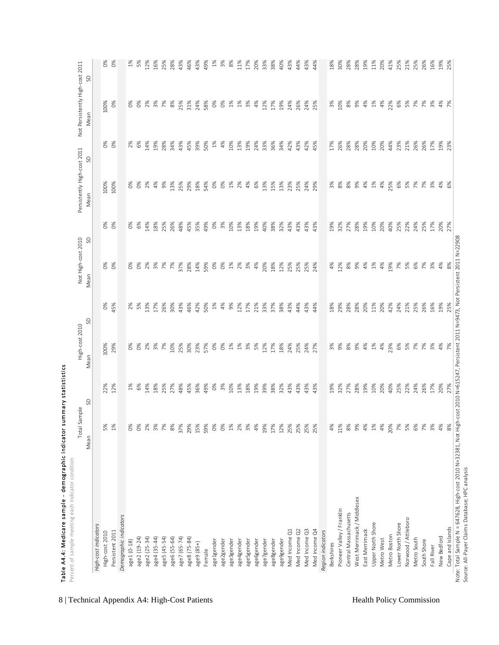| High-cost indicators<br>Persistent 2011<br>High-cost 2010 |       | Total Sample | High-cost 2010 |       | Not High-cost 2010 |     | Persistently High-cost 2011 |          | Not Persistently High-cost 2011 |          |
|-----------------------------------------------------------|-------|--------------|----------------|-------|--------------------|-----|-----------------------------|----------|---------------------------------|----------|
|                                                           | Mean  | S            | Mean           | SD    | Mean               | S   | Mean                        | S        | Mean                            | S        |
|                                                           |       |              |                |       |                    |     |                             |          |                                 |          |
|                                                           | 5%    | 22%          | 100%           | $O\%$ | $\delta$           | O%  | 100%                        | $\delta$ | 100%                            | $0\%$    |
|                                                           | $1\%$ | 12%          | 29%            | 45%   | ò <sub>s</sub>     | ്ട് | 100%                        | o%       | $\infty$                        | $\delta$ |
| Demographic indicators                                    |       |              |                |       |                    |     |                             |          |                                 |          |
| age1 (0-18)                                               | %o    | $1\%$        | ŏ              | 2%    | $\delta$           | ŏ   | $\delta$                    | 2%<br>6% | ŏ                               | $1\%$    |
| age2 (19-24)                                              | $O\%$ | 8%           | ဲလိ            | 5%    | 9%                 | 8%  | $\infty$                    |          | ò,                              | 5%       |
| age2 (25-34)                                              | 2%    | 14%          | 2%             | 13%   | 2%                 | 14% | 2%                          | 14%      | 2%                              | 12%      |
| age4 (35-44)                                              | 3%    | 18%          | 3%             | 17%   | 3%                 | 18% | 4%                          | 19%      | 3%                              | 16%      |
| age5 (45-54)                                              | 7%    | 25%          | $\frac{5}{6}$  | 26%   | 7%                 | 25% | 9%                          | 28%      | 7%                              | 25%      |
| age6 (55-64)                                              | $8%$  | 27%          | 10%            | 30%   | 7%                 | 26% | 13%                         | 34%      | 8%                              | 28%      |
| age7 (65-74)                                              | 37%   | 48%          | 25%            | 43%   | 37%                | 48% | 25%                         | 43%      | 25%                             | 43%      |
| age8 (75-84)                                              | 29%   | 45%          | 30%            | 46%   | 28%                | 45% | 29%                         | 45%      | 31%                             | 46%      |
| age9 (85+)                                                | 15%   | 36%          | 23%            | 42%   | 14%                | 35% | 18%                         | 39%      | 24%                             | 43%      |
| Female                                                    | 59%   | 49%          | 57%            | 50%   | 59%                | 49% | 54%                         | 50%      | 58%                             | 49%      |
| age1gender                                                | 0%    | $\delta$     | %              | $1\%$ | $\frac{6}{6}$      | Š   | 0%                          | $1\%$    | Š                               | $1\%$    |
| age2gender                                                | 0%    | 3%           | $\delta$       | $4%$  | $\delta$           | 3%  | $\delta$                    | 4%       | š                               | 3%       |
| age3gender                                                | $1\%$ | 10%          | $1\%$          | 9%    | $1\%$              | 10% | $1\%$                       | 10%      | $1\%$                           | 8%       |
| age4gender                                                | 2%    | 13%          | $1\%$          | 12%   | 2%                 | 13% | 2%                          | 13%      | $1\%$                           | 11%      |
| age5gender                                                | 3%    | 18%          | 3%             | 17%   | 3%                 | 18% | 4%                          | 19%      | $\frac{3\%}{6}$                 | 17%      |
| age6gender                                                | 4%    | 19%          | 5%             | 21%   | 4%                 | 19% | 6%                          | 24%      | 4%                              | 20%      |
| age7gender                                                | 19%   | 39%          | 12%            | 33%   | 20%                | 40% | 13%                         | 33%      | 12%                             | 33%      |
| age8gender                                                | 17%   | 38%          | 17%            | 37%   | 18%                | 38% | 15%                         | 36%      | 17%                             | 38%      |
| age9gender                                                | 12%   | 32%          | 18%            | 38%   | 12%                | 32% | 13%                         | 34%      | 19%                             | 40%      |
| Med Income Q1                                             | 25%   | 43%          | 24%            | 43%   | 25%                | 43% | 23%                         | 42%      | 24%                             | 43%      |
| Med Income Q2                                             | 25%   | 43%          | 25%            | 44%   | 25%                | 43% | 25%                         | 43%      | 26%                             | 44%      |
| Med Income Q3                                             | 25%   | 43%          | 24%            | 43%   | 25%                | 43% | 24%                         | 42%      | 24%                             | 43%      |
| Med Income Q4                                             | 25%   | 43%          | 27%            | 44%   | 24%                | 43% | 29%                         | 45%      | 25%                             | 44%      |
| Region indicators                                         |       |              |                |       |                    |     |                             |          |                                 |          |
| Berkshires                                                | 4%    | 19%          | $\frac{3}{6}$  | 18%   | 4%                 | 19% | 3%                          | 17%      | $\frac{5}{6}$                   | 18%      |
| Pioneer Valley / Franklin                                 | 11%   | 32%          | 9%             | 29%   | 12%                | 32% | 8%                          | 26%      | 10%                             | 30%      |
| Central Massachusetts                                     | 8%    | 27%          | 8%             | 28%   | 8%                 | 27% | 8%                          | 28%      | 8%                              | 28%      |
| West Merrimack / Middlesex                                | 9%    | 28%          | 9%             | 28%   | 9%                 | 28% | 9%                          | 28%      | ട്                              | 28%      |
| East Merrimack                                            | 4%    | 19%          | 4%             | 20%   | 4%                 | 19% | 4%                          | 20%      | 4%                              | 19%      |
| Upper North Shore                                         | $1\%$ | 10%          | $1\%$          | 11%   | $1\%$              | 10% | $1\%$                       | 10%      | $1\%$                           | 11%      |
| Metro West                                                | 4%    | 20%          | 4%             | 20%   | $4%$               | 20% | 4%                          | 20%      | 4%                              | 20%      |
| Metro Boston                                              | 20%   | 40%          | 23%            | 42%   | 19%                | 40% | 25%                         | 44%      | 22%                             | 41%      |
| Lower North Shore                                         | 7%    | 25%          | 6%             | 24%   | 7%                 | 25% | 6%                          | 23%      | 6%                              | 25%      |
| Norwood / Attleboro                                       | 5%    | 22%          | 5%             | 21%   | 5%                 | 22% | 5%                          | 21%      | 5%                              | 21%      |
| Metro South                                               | 6%    | 24%          | 7%             | 25%   | 6%                 | 24% | 7%                          | 26%      | 7%                              | 25%      |
| South Shore                                               | 7%    | 26%          | 7%             | 26%   | 7%                 | 25% | 7%                          | 26%      | 7%                              | 26%      |
| Fall River                                                | 3%    | 17%          | 3%             | 16%   | 3%                 | 17% | 3%                          | 17%      | 3%                              | 16%      |
| New Bedford                                               | 4%    | 20%          | 4%             | 19%   | 4%                 | 20% | 4%                          | 19%      | 4%                              | 19%      |
| Cape and Islands                                          | 8%    | 27%          | 7%             | 25%   | 8%                 | 27% | 6%                          | 23%      | $\frac{1}{2}$                   | 25%      |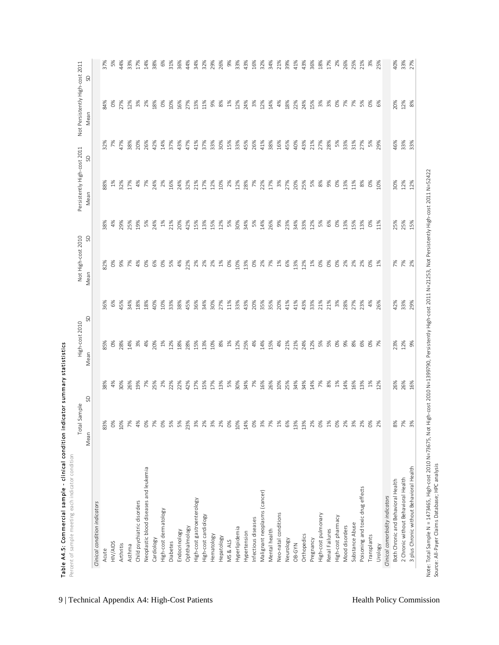|                                          | Sample<br>Total  |       | High-cost 2010 |     | Not High-cost 2010 |          | Persistently High-cost 2011 |      | Not Persistently High-cost 2011 |     |
|------------------------------------------|------------------|-------|----------------|-----|--------------------|----------|-----------------------------|------|---------------------------------|-----|
|                                          | Mean             | S     | Mean           | S   | S<br>Mean          |          | SD<br>Mean                  | Mean |                                 | SD  |
| Clinical condition indicators            |                  |       |                |     |                    |          |                             |      |                                 |     |
| Acute                                    | 83%              | 38%   | 35%            | 36% | 32%                | 38%      | 38%                         | 32%  | 34%                             | 37% |
| HIV/AIDS                                 | $\delta$         | 4%    | 0%             | 6%  | $\delta$           | 4%       | $1\%$                       | 7%   | $\delta$                        | 5%  |
| Arthritis                                | 10%              | 30%   | 28%            | 45% | 9%                 | 29%      | 32%                         | 47%  | 27%                             | 44% |
| Asthma                                   | 7%               | 26%   | 14%            | 34% | 7%                 | 25%      | 17%                         | 38%  | 12%                             | 33% |
| Child psychiatric disorders              | 4%               | 19%   | 3%             | 18% | 4%                 | 19%      | 4%                          | 20%  | 3%                              | 17% |
| Neoplastic blood diseases and leukemia   | $\frac{6}{3}$    | 7%    | 4%             | 18% | $\delta$           | 5%       | 7%                          | 26%  | 2%                              | 14% |
| Cardiology                               | 7%               | 25%   | 20%            | 40% | 6%                 | 24%      | 24%                         | 42%  | 18%                             | 38% |
| High-cost dermatology                    | $\frac{6}{3}$    | 2%    | 1%             | 10% | $\delta$           | $1\%$    | 2%                          | 14%  | $\delta$                        | 6%  |
| Diabetes                                 | 5%               | 22%   | 12%            | 33% | 5%                 | 21%      | 16%                         | 37%  | 10%                             | 31% |
| Endocrinology                            | 5%               | 22%   | 18%            | 38% | 4%                 | 20%      | 24%                         | 43%  | 16%                             | 36% |
| Ophthalmology                            | 23%              | 42%   | 28%            | 45% | 22%                | 42%      | 32%                         | 47%  | 27%                             | 44% |
| High-cost gastroenterology               | 3%               | 17%   | 15%            | 36% | 2%                 | 15%      | 21%                         | 41%  | 13%                             | 34% |
| High-cost cardiology                     | 2%               | 15%   | 13%            | 34% | 2%                 | 13%      | 17%                         | 37%  | 11%                             | 32% |
| Hematology                               | 3%               | 17%   | 10%            | 30% | 2%                 | 15%      | 12%                         | 33%  | 9%                              | 29% |
| Hepatology                               | 2%               | 13%   | 8%             | 27% | $1\%$              | 12%      | 10%                         | 30%  | 8%                              | 26% |
| MS & ALS                                 | $\delta^{\circ}$ | 5%    | $1\%$          | 11% | $\delta$           | 5%       | 2%                          | 15%  | $1\%$                           | 9%  |
| Hyperlipidemia                           | 10%              | 30%   | 12%            | 33% | 10%                | 30%      | 12%                         | 33%  | 12%                             | 33% |
| Hypertension                             | 14%              | 34%   | 25%            | 43% | 13%                | 34%      | 28%                         | 45%  | 24%                             | 43% |
| Infectious diseases                      | $\frac{6}{3}$    | 7%    | 4%             | 20% | $\delta$           | 5%       | 7%                          | 26%  | 3%                              | 16% |
| Malignant neoplasms (cancer)             | 3%               | 16%   | 14%            | 35% | 2%                 | 14%      | 22%                         | 41%  | 12%                             | 32% |
| Mental health                            | 7%               | 26%   | 15%            | 35% | 7%                 | 26%      | 17%                         | 38%  | 14%                             | 34% |
| Neo-natal conditions                     | 1%               | 10%   | 4%             | 20% | $1\%$              | 9%       | 3%                          | 16%  | 4%                              | 21% |
| Neurology                                | 6%               | 25%   | 21%            | 41% | 6%                 | 23%      | 27%                         | 45%  | 18%                             | 39% |
| OB-GYN                                   | 13%              | 34%   | 21%            | 41% | 13%                | 34%      | 20%                         | 40%  | 22%                             | 41% |
| Orthopedics                              | 13%              | 34%   | 24%            | 43% | 12%                | 33%      | 25%                         | 43%  | 24%                             | 43% |
| Pregnancy                                | 2%               | 14%   | 12%            | 33% | 1%                 | 12%      | 5%                          | 21%  | 15%                             | 36% |
| High-cost pulmonary                      | $\frac{6}{3}$    | 7%    | 5%             | 21% | $\delta$           | 5%       | $8%$                        | 27%  | 3%                              | 18% |
| Renal Failures                           | $1\%$            | 8%    | 5%             | 21% | $\delta$           | 6%       | 9%                          | 28%  | 3%                              | 17% |
| High-cost pharmacy                       | $\frac{6}{3}$    | 1%    | $\delta$       | 3%  | $\delta$           | $\delta$ | 0%                          | 5%   | $O\%$                           | 2%  |
| Mood disorders                           | 2%               | 14%   | 9%             | 28% | 2%                 | 13%      | 13%                         | 33%  | 7%                              | 26% |
| Substance Abuse                          | 3%               | 16%   | 8%             | 27% | 2%                 | 15%      | 11%                         | 31%  | 7%                              | 25% |
| Poisoning and toxic drug effects         | 2%               | 13%   | 6%             | 23% | 2%                 | 13%      | 8%                          | 27%  | 5%                              | 21% |
| Transplants                              | $\frac{6}{3}$    | $1\%$ | O <sup>8</sup> | 4%  | $\delta$           | $\delta$ | $0\%$                       | 5%   | $^{86}$                         | 3%  |
| Urology                                  | 2%               | 12%   | $\frac{5}{6}$  | 26% | $\frac{8}{1}$      | 11%      | 10%                         | 29%  | 6%                              | 25% |
| Clinical comorbidity indicators          |                  |       |                |     |                    |          |                             |      |                                 |     |
| Both Chronic and Behavioral Health       | $\frac{8}{6}$    | 26%   | 23%            | 42% | 7%<br>7%           | 25%      | 30%                         | 46%  | 20%                             | 40% |
| 2 Chronic without Behavioral Health      | 7%               | 26%   | 12%            | 33% |                    | 25%      | 12%                         | 33%  | 12%                             | 33% |
| 3 plus Chronic without Behavioral Health | $\frac{3}{6}$    | 16%   | 9%             | 29% | 2%                 | 15%      | 12%                         | 33%  | 8%                              | 27% |

Note: Total Sample N = 1473465, High-cost 2010 N=73675, Not High-cost 2010 N=1399790, Persistently High-cost 2011 N=21253, Not Persistently High-cost 2011 N=52422<br>Source: All-Payer Claims Database; HPC analysis Note: Total Sample N = 1473465, High-cost 2010 N=73675, Not High-cost 2010 N=1399790, Persistently High-cost 2011 N=21253, Not Persistently High-cost 2011 N=52422 Source: All-Payer Claims Database; HPC analysis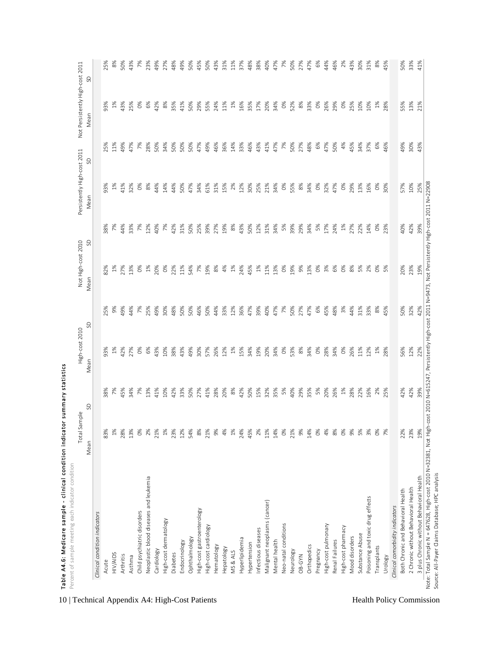| S<br>$1\%$<br>0%<br>2%<br>83%<br>28%<br>13%<br>21%<br>$1\%$<br>23%<br>12%<br>54%<br>Mean<br>Neoplastic blood diseases and leukemia<br>Child psychiatric disorders<br>Clinical condition indicators<br>High-cost dermatology<br>Ophthalmology<br>Endocrinology<br>Cardiology<br>Diabetes<br>HIV/AIDS<br>Arthritis<br>Asthma<br>Acute | 7%<br>45%<br>13%<br>38%<br>34%<br>$\frac{5}{6}$<br>41% | SD<br>Mean     | Mean          | S             |               | S             |          |     |
|-------------------------------------------------------------------------------------------------------------------------------------------------------------------------------------------------------------------------------------------------------------------------------------------------------------------------------------|--------------------------------------------------------|----------------|---------------|---------------|---------------|---------------|----------|-----|
|                                                                                                                                                                                                                                                                                                                                     |                                                        |                |               |               | Mean          |               | Mean     | S   |
|                                                                                                                                                                                                                                                                                                                                     |                                                        |                |               |               |               |               |          |     |
|                                                                                                                                                                                                                                                                                                                                     |                                                        | 25%<br>%EE     | 32%           | 38%           | 93%           | 25%           | 93%      | 25% |
|                                                                                                                                                                                                                                                                                                                                     |                                                        | 9%<br>$1\%$    | $\frac{5}{6}$ | ஜ             | $1\%$         | 11%           | $1\%$    | 8%  |
|                                                                                                                                                                                                                                                                                                                                     |                                                        | 49%<br>42%     | 27%           | 44%           | 41%           | 49%           | 43%      | 50% |
|                                                                                                                                                                                                                                                                                                                                     |                                                        | 44%<br>27%     | 13%           | 33%           | 32%           | 47%           | 25%      | 43% |
|                                                                                                                                                                                                                                                                                                                                     |                                                        | 7%<br>$\delta$ | %             | 癶             | $\frac{8}{3}$ | $\frac{5}{6}$ | $\delta$ | 7%  |
|                                                                                                                                                                                                                                                                                                                                     |                                                        | 25%<br>6%      | $1\%$         | 12%           | 8%            | 28%           | 6%       | 23% |
|                                                                                                                                                                                                                                                                                                                                     |                                                        | 49%<br>43%     | 20%           | 40%           | 44%           | 50%           | 42%      | 49% |
|                                                                                                                                                                                                                                                                                                                                     | 10%                                                    | 30%<br>10%     | S,            | 7%            | 14%           | 34%           | 8%       | 27% |
|                                                                                                                                                                                                                                                                                                                                     | 42%                                                    | 48%<br>38%     | 22%           | 42%           | 44%           | 50%           | 35%      | 48% |
|                                                                                                                                                                                                                                                                                                                                     | 33%                                                    | 50%<br>43%     | 11%           | 31%           | 50%           | 50%           | 41%      | 49% |
|                                                                                                                                                                                                                                                                                                                                     | 50%                                                    | 50%<br>49%     | 54%           | 50%           | 47%           | 50%           | 50%      | 50% |
| 8%<br>High-cost gastroenterology                                                                                                                                                                                                                                                                                                    | 27%                                                    | 46%<br>30%     | 7%            | 25%           | 34%           | 47%           | 29%      | 45% |
| 21%<br>High-cost cardiology                                                                                                                                                                                                                                                                                                         | 41%                                                    | 50%<br>57%     | 19%           | 39%           | 61%           | 49%           | 55%      | 50% |
| 9%<br>Hematology                                                                                                                                                                                                                                                                                                                    | 28%                                                    | 44%<br>26%     | 8%            | 27%           | 31%           | 46%           | 24%      | 43% |
| 4%<br>Hepatology                                                                                                                                                                                                                                                                                                                    | 20%                                                    | 33%<br>12%     | 4%            | 19%           | 15%           | 36%           | 11%      | 31% |
| $1\%$<br>MS & ALS                                                                                                                                                                                                                                                                                                                   | 8%                                                     | 12%<br>$1\%$   | $1\%$         | 8%            | 2%            | 14%           | $1\%$    | 11% |
| 24%<br>Hyperlipidemia                                                                                                                                                                                                                                                                                                               | 42%                                                    | 36%<br>15%     | 24%           | 43%           | 12%           | 33%           | 16%      | 37% |
| 45%<br>Hypertension                                                                                                                                                                                                                                                                                                                 | 50%                                                    | 47%<br>34%     | 45%           | 50%           | 30%           | 46%           | 35%      | 48% |
| 2%<br>Infectious diseases                                                                                                                                                                                                                                                                                                           | 15%                                                    | 39%<br>19%     | $\frac{5}{6}$ | 12%           | 25%           | 43%           | 17%      | 38% |
| 11%<br>Malignant neoplasms (cancer)                                                                                                                                                                                                                                                                                                 | 32%                                                    | 40%<br>20%     | 11%           | 31%           | 21%           | 41%           | 20%      | 40% |
| 14%<br>Mental health                                                                                                                                                                                                                                                                                                                | 35%                                                    | 47%<br>34%     | 13%           | 34%           | 34%           | 47%           | 34%      | 47% |
| 0%<br>Neo-natal conditions                                                                                                                                                                                                                                                                                                          | 5%                                                     | 7%<br>0%       | $\delta$      | 5%            | $O\%$         | 7%            | 0%       | 7%  |
| 21%<br>Neurology                                                                                                                                                                                                                                                                                                                    | 40%                                                    | 50%<br>53%     | 19%           | 39%           | 55%           | 50%           | 52%      | 50% |
| 9%<br>OB-GYN                                                                                                                                                                                                                                                                                                                        | 29%                                                    | 27%<br>8%      | 9%            | 29%           | 8%            | 27%           | 8%       | 27% |
| 14%<br>Orthopedics                                                                                                                                                                                                                                                                                                                  | 35%                                                    | 47%<br>34%     | 13%           | 34%           | 34%           | 48%           | 33%      | 47% |
| 0%<br>Pregnancy                                                                                                                                                                                                                                                                                                                     | 5%                                                     | 6%<br>0%       | $\delta$      | 5%            | $\infty$      | 6%            | O%       | 6%  |
| 4%<br>High-cost pulmonary                                                                                                                                                                                                                                                                                                           | 20%                                                    | 45%<br>28%     | 3%            | 17%           | 32%           | 47%           | 26%      | 44% |
| 8%<br>Renal Failures                                                                                                                                                                                                                                                                                                                | 26%                                                    | 48%<br>34%     | 6%            | 24%           | 47%           | 50%           | 29%      | 46% |
| $0\%$<br>High-cost pharmacy                                                                                                                                                                                                                                                                                                         | $1\%$                                                  | 3%<br>0%       | $\delta$      | $\frac{5}{6}$ | $\delta$      | 4%            | $\delta$ | 2%  |
| 9%<br>Mood disorders                                                                                                                                                                                                                                                                                                                | 28%                                                    | 44%<br>26%     | 8%            | 27%           | 29%           | 45%           | 25%      | 43% |
| 5%<br>Substance Abuse                                                                                                                                                                                                                                                                                                               | 22%                                                    | 31%<br>11%     | 5%            | 22%           | 13%           | 34%           | 10%      | 30% |
| 3%<br>Poisoning and toxic drug effects                                                                                                                                                                                                                                                                                              | 16%                                                    | 33%<br>12%     | 2%            | 14%           | 16%           | 37%           | 10%      | 31% |
| $\delta$<br>Transplants                                                                                                                                                                                                                                                                                                             | 2%                                                     | 8%<br>$1\%$    | $\delta$      | $\frac{8}{3}$ | $\delta$      | 6%            | $1\%$    | 8%  |
| 7%<br>Urology                                                                                                                                                                                                                                                                                                                       | 25%                                                    | 45%<br>28%     | 5%            | 23%           | 30%           | 46%           | 28%      | 45% |
| Clinical comorbidity indicators                                                                                                                                                                                                                                                                                                     |                                                        |                |               |               |               |               |          |     |
| 22%<br>Both Chronic and Behavioral Health                                                                                                                                                                                                                                                                                           | 42%                                                    | 50%<br>56%     | 20%           | 40%           | 57%           | 49%           | 55%      | 50% |
| 23%<br>2 Chronic without Behavioral Health                                                                                                                                                                                                                                                                                          | 42%                                                    | 32%<br>12%     | 23%           | 42%           | 10%           | 30%           | 13%      | 33% |
| 19%<br>3 plus Chronic without Behavioral Health                                                                                                                                                                                                                                                                                     | 39%                                                    | 42%<br>22%     | 19%           | 39%           | 25%           | 43%           | 21%      | 41% |

10 | Technical Appendix A4: High-Cost Patients Health Policy Commission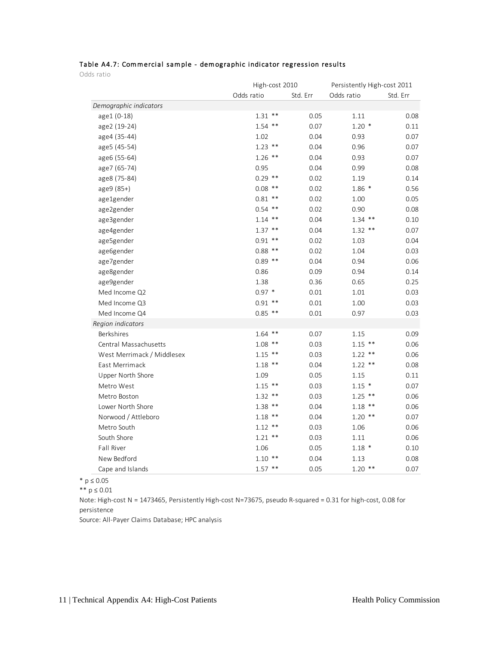|            | Table A4.7: Commercial sample - demographic indicator regression results |  |  |
|------------|--------------------------------------------------------------------------|--|--|
| Odds ratio |                                                                          |  |  |

Odds ratio

|                            | High-cost 2010 |          | Persistently High-cost 2011 |          |
|----------------------------|----------------|----------|-----------------------------|----------|
|                            | Odds ratio     | Std. Err | Odds ratio                  | Std. Err |
| Demographic indicators     |                |          |                             |          |
| age1 (0-18)                | $1.31$ **      | 0.05     | 1.11                        | 0.08     |
| age2 (19-24)               | $1.54$ **      | 0.07     | $1.20*$                     | 0.11     |
| age4 (35-44)               | 1.02           | 0.04     | 0.93                        | 0.07     |
| age5 (45-54)               | $1.23$ **      | 0.04     | 0.96                        | 0.07     |
| age6 (55-64)               | $1.26$ **      | 0.04     | 0.93                        | 0.07     |
| age7 (65-74)               | 0.95           | 0.04     | 0.99                        | 0.08     |
| age8 (75-84)               | $0.29$ **      | 0.02     | 1.19                        | 0.14     |
| age9 (85+)                 | $0.08$ **      | 0.02     | $1.86*$                     | 0.56     |
| age1gender                 | $0.81$ **      | 0.02     | 1.00                        | 0.05     |
| age2gender                 | $0.54$ **      | 0.02     | 0.90                        | 0.08     |
| age3gender                 | $1.14$ **      | 0.04     | $1.34$ **                   | 0.10     |
| age4gender                 | $1.37$ **      | 0.04     | $1.32$ **                   | 0.07     |
| age5gender                 | $0.91$ **      | 0.02     | 1.03                        | 0.04     |
| age6gender                 | $0.88$ **      | 0.02     | 1.04                        | 0.03     |
| age7gender                 | $0.89$ **      | 0.04     | 0.94                        | 0.06     |
| age8gender                 | 0.86           | 0.09     | 0.94                        | 0.14     |
| age9gender                 | 1.38           | 0.36     | 0.65                        | 0.25     |
| Med Income Q2              | $0.97*$        | 0.01     | 1.01                        | 0.03     |
| Med Income Q3              | $0.91$ **      | 0.01     | 1.00                        | 0.03     |
| Med Income Q4              | $0.85$ **      | 0.01     | 0.97                        | 0.03     |
| Region indicators          |                |          |                             |          |
| Berkshires                 | $1.64$ **      | 0.07     | 1.15                        | 0.09     |
| Central Massachusetts      | $1.08$ **      | 0.03     | $1.15$ **                   | 0.06     |
| West Merrimack / Middlesex | $1.15$ **      | 0.03     | $1.22$ **                   | 0.06     |
| East Merrimack             | $1.18$ **      | 0.04     | $1.22$ **                   | 0.08     |
| Upper North Shore          | 1.09           | 0.05     | 1.15                        | 0.11     |
| Metro West                 | $1.15$ **      | 0.03     | $1.15$ *                    | 0.07     |
| Metro Boston               | $1.32$ **      | 0.03     | $1.25$ **                   | 0.06     |
| Lower North Shore          | $1.38$ **      | 0.04     | $1.18$ **                   | 0.06     |
| Norwood / Attleboro        | $1.18$ **      | 0.04     | $1.20$ **                   | 0.07     |
| Metro South                | $1.12$ **      | 0.03     | 1.06                        | 0.06     |
| South Shore                | $1.21$ **      | 0.03     | 1.11                        | 0.06     |
| Fall River                 | 1.06           | 0.05     | $1.18$ *                    | 0.10     |
| New Bedford                | $1.10**$       | 0.04     | 1.13                        | 0.08     |
| Cape and Islands           | $1.57$ **      | 0.05     | $1.20$ **                   | 0.07     |

\* p ≤ 0.05

\*\* p ≤ 0.01

Note: High-cost N = 1473465, Persistently High-cost N=73675, pseudo R-squared = 0.31 for high-cost, 0.08 for persistence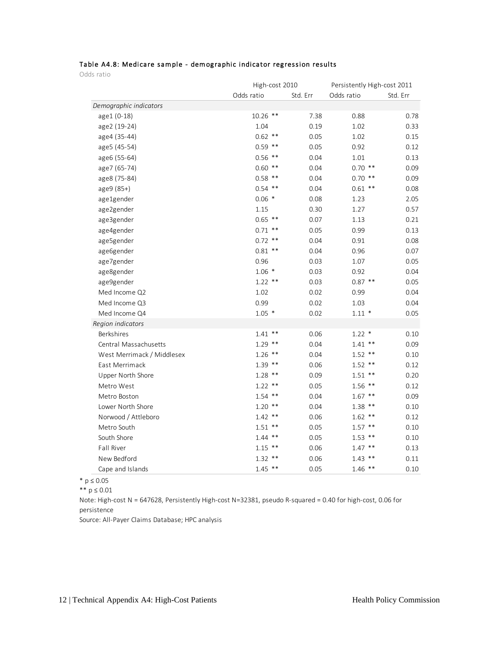#### Table A4.8: Medicare sample - demographic indicator regression results

Odds ratio

|                            | High-cost 2010 |          | Persistently High-cost 2011 |          |
|----------------------------|----------------|----------|-----------------------------|----------|
|                            | Odds ratio     | Std. Err | Odds ratio                  | Std. Err |
| Demographic indicators     |                |          |                             |          |
| age1 (0-18)                | $10.26$ **     | 7.38     | 0.88                        | 0.78     |
| age2 (19-24)               | 1.04           | 0.19     | 1.02                        | 0.33     |
| age4 (35-44)               | $0.62$ **      | 0.05     | 1.02                        | 0.15     |
| age5 (45-54)               | $0.59$ **      | 0.05     | 0.92                        | 0.12     |
| age6 (55-64)               | $0.56$ **      | 0.04     | 1.01                        | 0.13     |
| age7 (65-74)               | $0.60$ **      | 0.04     | $0.70$ **                   | 0.09     |
| age8 (75-84)               | $0.58$ **      | 0.04     | $0.70$ **                   | 0.09     |
| age9 (85+)                 | $0.54$ **      | 0.04     | $0.61$ **                   | 0.08     |
| age1gender                 | $0.06*$        | 0.08     | 1.23                        | 2.05     |
| age2gender                 | 1.15           | 0.30     | 1.27                        | 0.57     |
| age3gender                 | $0.65$ **      | 0.07     | 1.13                        | 0.21     |
| age4gender                 | $0.71$ **      | 0.05     | 0.99                        | 0.13     |
| age5gender                 | $0.72$ **      | 0.04     | 0.91                        | 0.08     |
| age6gender                 | $0.81$ **      | 0.04     | 0.96                        | 0.07     |
| age7gender                 | 0.96           | 0.03     | 1.07                        | 0.05     |
| age8gender                 | $1.06*$        | 0.03     | 0.92                        | 0.04     |
| age9gender                 | $1.22$ **      | 0.03     | $0.87$ **                   | 0.05     |
| Med Income Q2              | 1.02           | 0.02     | 0.99                        | 0.04     |
| Med Income Q3              | 0.99           | 0.02     | 1.03                        | 0.04     |
| Med Income Q4              | $1.05*$        | 0.02     | $1.11*$                     | 0.05     |
| Region indicators          |                |          |                             |          |
| Berkshires                 | $1.41$ **      | 0.06     | $1.22$ *                    | 0.10     |
| Central Massachusetts      | $1.29$ **      | 0.04     | $1.41$ **                   | 0.09     |
| West Merrimack / Middlesex | $1.26$ **      | 0.04     | $1.52$ **                   | 0.10     |
| East Merrimack             | $1.39$ **      | 0.06     | $1.52$ **                   | 0.12     |
| Upper North Shore          | $1.28$ **      | 0.09     | $1.51$ **                   | 0.20     |
| Metro West                 | $1.22$ **      | 0.05     | $1.56$ **                   | 0.12     |
| Metro Boston               | $1.54$ **      | 0.04     | $1.67$ **                   | 0.09     |
| Lower North Shore          | $1.20$ **      | 0.04     | $1.38$ **                   | 0.10     |
| Norwood / Attleboro        | $1.42$ **      | 0.06     | $1.62$ **                   | 0.12     |
| Metro South                | $1.51$ **      | 0.05     | $1.57$ **                   | 0.10     |
| South Shore                | $1.44$ **      | 0.05     | $1.53$ **                   | 0.10     |
| Fall River                 | $1.15$ **      | 0.06     | $1.47$ **                   | 0.13     |
| New Bedford                | $1.32$ **      | 0.06     | $1.43$ **                   | 0.11     |
| Cape and Islands           | $1.45$ **      | 0.05     | $1.46$ **                   | 0.10     |

\* p ≤ 0.05

\*\* p ≤ 0.01

Note: High-cost N = 647628, Persistently High-cost N=32381, pseudo R-squared = 0.40 for high-cost, 0.06 for persistence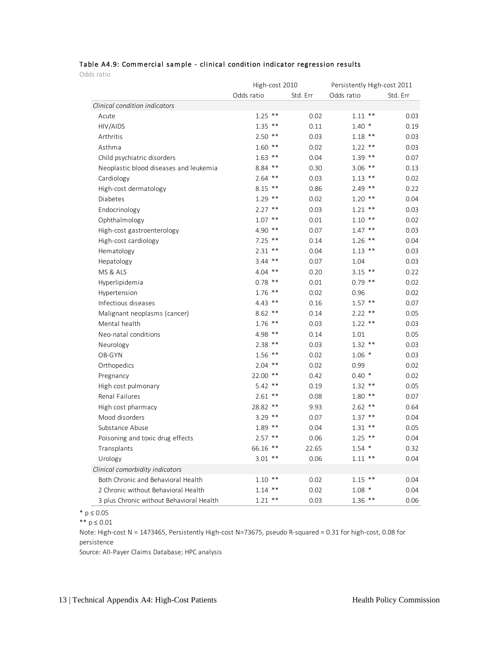#### Table A4.9: Commercial sample - clinical condition indicator regression results

Odds ratio

|                                          | High-cost 2010 |          | Persistently High-cost 2011 |          |
|------------------------------------------|----------------|----------|-----------------------------|----------|
|                                          | Odds ratio     | Std. Err | Odds ratio                  | Std. Err |
| Clinical condition indicators            |                |          |                             |          |
| Acute                                    | $1.25$ **      | 0.02     | $1.11$ **                   | 0.03     |
| HIV/AIDS                                 | $1.35$ **      | 0.11     | $1.40*$                     | 0.19     |
| Arthritis                                | $2.50$ **      | 0.03     | $1.18$ **                   | 0.03     |
| Asthma                                   | $1.60$ **      | 0.02     | $1.22$ **                   | 0.03     |
| Child psychiatric disorders              | $1.63$ **      | 0.04     | $1.39$ **                   | 0.07     |
| Neoplastic blood diseases and leukemia   | $8.84$ **      | 0.30     | $3.06$ **                   | 0.13     |
| Cardiology                               | $2.64$ **      | 0.03     | $1.13$ **                   | 0.02     |
| High-cost dermatology                    | $8.15$ **      | 0.86     | $2.49$ **                   | 0.22     |
| Diabetes                                 | $1.29$ **      | 0.02     | $1.20$ **                   | 0.04     |
| Endocrinology                            | $2.27$ **      | 0.03     | $1.21$ **                   | 0.03     |
| Ophthalmology                            | $1.07$ **      | 0.01     | $1.10**$                    | 0.02     |
| High-cost gastroenterology               | 4.90 **        | 0.07     | $1.47$ **                   | 0.03     |
| High-cost cardiology                     | $7.25$ **      | 0.14     | $1.26$ **                   | 0.04     |
| Hematology                               | $2.31$ **      | 0.04     | $1.13$ **                   | 0.03     |
| Hepatology                               | $3.44$ **      | 0.07     | 1.04                        | 0.03     |
| MS & ALS                                 | $4.04$ **      | 0.20     | $3.15$ **                   | 0.22     |
| Hyperlipidemia                           | $0.78$ **      | 0.01     | $0.79$ **                   | 0.02     |
| Hypertension                             | $1.76$ **      | 0.02     | 0.96                        | 0.02     |
| Infectious diseases                      | $4.43$ **      | 0.16     | $1.57$ **                   | 0.07     |
| Malignant neoplasms (cancer)             | $8.62$ **      | 0.14     | $2.22$ **                   | 0.05     |
| Mental health                            | $1.76$ **      | 0.03     | $1.22$ **                   | 0.03     |
| Neo-natal conditions                     | 4.98 **        | 0.14     | 1.01                        | 0.05     |
| Neurology                                | $2.38$ **      | 0.03     | $1.32$ **                   | 0.03     |
| OB-GYN                                   | $1.56$ **      | 0.02     | $1.06*$                     | 0.03     |
| Orthopedics                              | $2.04$ **      | 0.02     | 0.99                        | 0.02     |
| Pregnancy                                | 22.00 **       | 0.42     | $0.40*$                     | 0.02     |
| High cost pulmonary                      | $5.42$ **      | 0.19     | $1.32$ **                   | 0.05     |
| Renal Failures                           | $2.61$ **      | 0.08     | $1.80**$                    | 0.07     |
| High cost pharmacy                       | 28.82 **       | 9.93     | $2.62$ **                   | 0.64     |
| Mood disorders                           | $3.29$ **      | 0.07     | $1.37$ **                   | 0.04     |
| Substance Abuse                          | $1.89$ **      | 0.04     | $1.31$ **                   | 0.05     |
| Poisoning and toxic drug effects         | $2.57$ **      | 0.06     | $1.25$ **                   | 0.04     |
| Transplants                              | 66.16 **       | 22.65    | $1.54$ *                    | 0.32     |
| Urology                                  | $3.01$ **      | 0.06     | $1.11$ **                   | 0.04     |
| Clinical comorbidity indicators          |                |          |                             |          |
| Both Chronic and Behavioral Health       | $1.10**$       | 0.02     | $1.15$ **                   | 0.04     |
| 2 Chronic without Behavioral Health      | $1.14$ **      | 0.02     | $1.08*$                     | 0.04     |
| 3 plus Chronic without Behavioral Health | $1.21$ **      | 0.03     | $1.36$ **                   | 0.06     |

\* p ≤ 0.05

\*\* p ≤ 0.01

Note: High-cost N = 1473465, Persistently High-cost N=73675, pseudo R-squared = 0.31 for high-cost, 0.08 for persistence